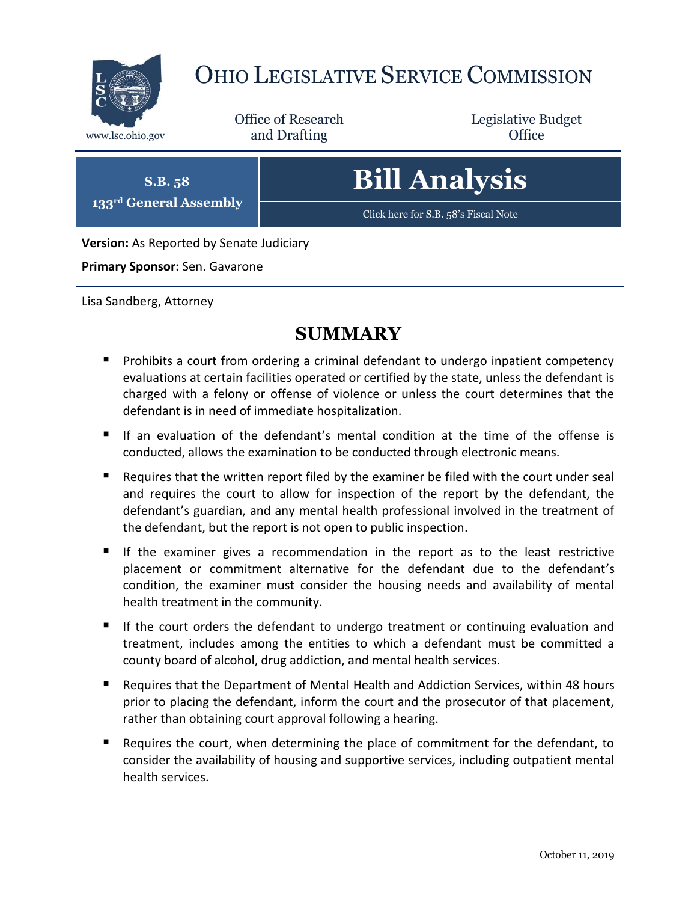

# OHIO LEGISLATIVE SERVICE COMMISSION

Office of Research www.lsc.ohio.gov and Drafting Control of Control of the Control of Control of the Control of Control of the Control of the Control of the Control of the Control of the Control of the Control of the Control of the Control o

Legislative Budget

**S.B. 58 133rd General Assembly** **Bill Analysis**

[Click here for S.B. 58](https://www.legislature.ohio.gov/legislation/legislation-documents?id=GA133-SB-58)'s Fiscal Note

**Version:** As Reported by Senate Judiciary

**Primary Sponsor:** Sen. Gavarone

Lisa Sandberg, Attorney

### **SUMMARY**

- **Prohibits a court from ordering a criminal defendant to undergo inpatient competency** evaluations at certain facilities operated or certified by the state, unless the defendant is charged with a felony or offense of violence or unless the court determines that the defendant is in need of immediate hospitalization.
- If an evaluation of the defendant's mental condition at the time of the offense is conducted, allows the examination to be conducted through electronic means.
- Requires that the written report filed by the examiner be filed with the court under seal and requires the court to allow for inspection of the report by the defendant, the defendant's guardian, and any mental health professional involved in the treatment of the defendant, but the report is not open to public inspection.
- If the examiner gives a recommendation in the report as to the least restrictive placement or commitment alternative for the defendant due to the defendant's condition, the examiner must consider the housing needs and availability of mental health treatment in the community.
- If the court orders the defendant to undergo treatment or continuing evaluation and treatment, includes among the entities to which a defendant must be committed a county board of alcohol, drug addiction, and mental health services.
- Requires that the Department of Mental Health and Addiction Services, within 48 hours prior to placing the defendant, inform the court and the prosecutor of that placement, rather than obtaining court approval following a hearing.
- Requires the court, when determining the place of commitment for the defendant, to consider the availability of housing and supportive services, including outpatient mental health services.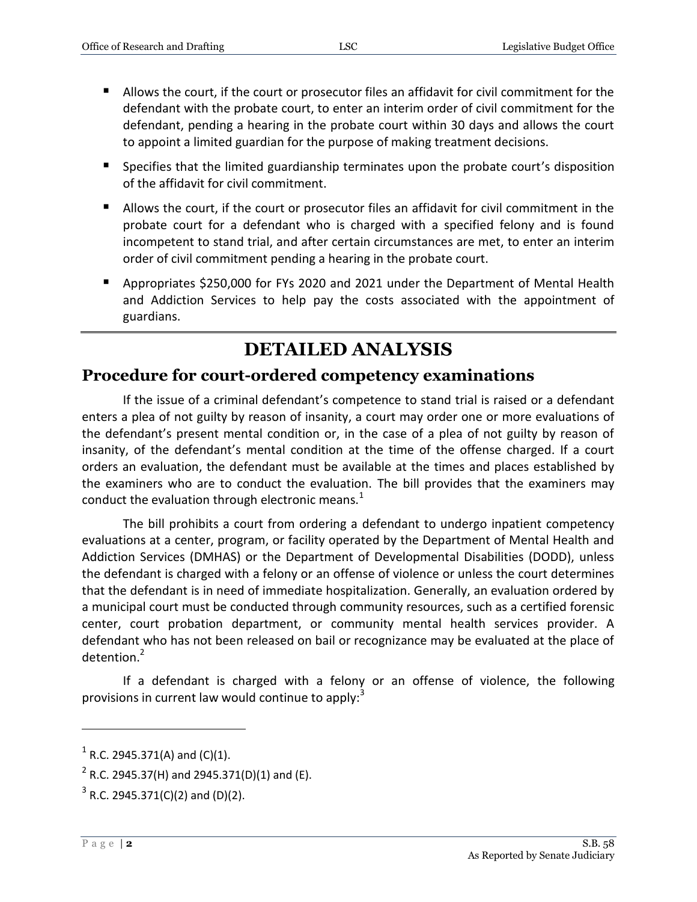- Allows the court, if the court or prosecutor files an affidavit for civil commitment for the defendant with the probate court, to enter an interim order of civil commitment for the defendant, pending a hearing in the probate court within 30 days and allows the court to appoint a limited guardian for the purpose of making treatment decisions.
- **Specifies that the limited guardianship terminates upon the probate court's disposition** of the affidavit for civil commitment.
- Allows the court, if the court or prosecutor files an affidavit for civil commitment in the probate court for a defendant who is charged with a specified felony and is found incompetent to stand trial, and after certain circumstances are met, to enter an interim order of civil commitment pending a hearing in the probate court.
- Appropriates \$250,000 for FYs 2020 and 2021 under the Department of Mental Health and Addiction Services to help pay the costs associated with the appointment of guardians.

## **DETAILED ANALYSIS**

#### **Procedure for court-ordered competency examinations**

If the issue of a criminal defendant's competence to stand trial is raised or a defendant enters a plea of not guilty by reason of insanity, a court may order one or more evaluations of the defendant's present mental condition or, in the case of a plea of not guilty by reason of insanity, of the defendant's mental condition at the time of the offense charged. If a court orders an evaluation, the defendant must be available at the times and places established by the examiners who are to conduct the evaluation. The bill provides that the examiners may conduct the evaluation through electronic means. $<sup>1</sup>$ </sup>

The bill prohibits a court from ordering a defendant to undergo inpatient competency evaluations at a center, program, or facility operated by the Department of Mental Health and Addiction Services (DMHAS) or the Department of Developmental Disabilities (DODD), unless the defendant is charged with a felony or an offense of violence or unless the court determines that the defendant is in need of immediate hospitalization. Generally, an evaluation ordered by a municipal court must be conducted through community resources, such as a certified forensic center, court probation department, or community mental health services provider. A defendant who has not been released on bail or recognizance may be evaluated at the place of detention.<sup>2</sup>

If a defendant is charged with a felony or an offense of violence, the following provisions in current law would continue to apply: $3$ 

 $1$  R.C. 2945.371(A) and (C)(1).

 $^{2}$  R.C. 2945.37(H) and 2945.371(D)(1) and (E).

 $3$  R.C. 2945.371(C)(2) and (D)(2).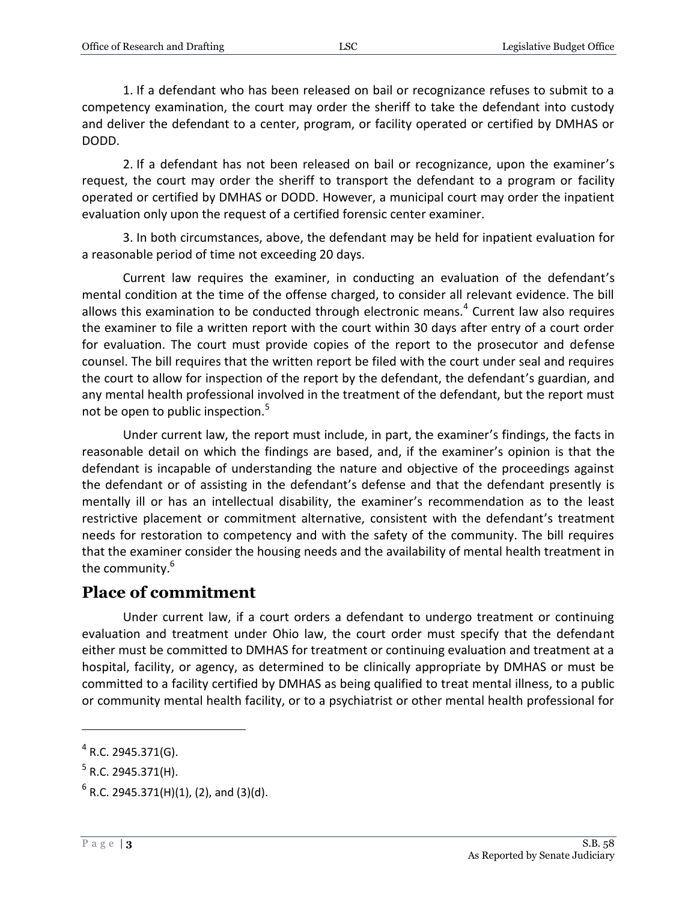1. If a defendant who has been released on bail or recognizance refuses to submit to a competency examination, the court may order the sheriff to take the defendant into custody and deliver the defendant to a center, program, or facility operated or certified by DMHAS or DODD.

2. If a defendant has not been released on bail or recognizance, upon the examiner's request, the court may order the sheriff to transport the defendant to a program or facility operated or certified by DMHAS or DODD. However, a municipal court may order the inpatient evaluation only upon the request of a certified forensic center examiner.

3. In both circumstances, above, the defendant may be held for inpatient evaluation for a reasonable period of time not exceeding 20 days.

Current law requires the examiner, in conducting an evaluation of the defendant's mental condition at the time of the offense charged, to consider all relevant evidence. The bill allows this examination to be conducted through electronic means. $<sup>4</sup>$  Current law also requires</sup> the examiner to file a written report with the court within 30 days after entry of a court order for evaluation. The court must provide copies of the report to the prosecutor and defense counsel. The bill requires that the written report be filed with the court under seal and requires the court to allow for inspection of the report by the defendant, the defendant's guardian, and any mental health professional involved in the treatment of the defendant, but the report must not be open to public inspection.<sup>5</sup>

Under current law, the report must include, in part, the examiner's findings, the facts in reasonable detail on which the findings are based, and, if the examiner's opinion is that the defendant is incapable of understanding the nature and objective of the proceedings against the defendant or of assisting in the defendant's defense and that the defendant presently is mentally ill or has an intellectual disability, the examiner's recommendation as to the least restrictive placement or commitment alternative, consistent with the defendant's treatment needs for restoration to competency and with the safety of the community. The bill requires that the examiner consider the housing needs and the availability of mental health treatment in the community.<sup>6</sup>

#### **Place of commitment**

Under current law, if a court orders a defendant to undergo treatment or continuing evaluation and treatment under Ohio law, the court order must specify that the defendant either must be committed to DMHAS for treatment or continuing evaluation and treatment at a hospital, facility, or agency, as determined to be clinically appropriate by DMHAS or must be committed to a facility certified by DMHAS as being qualified to treat mental illness, to a public or community mental health facility, or to a psychiatrist or other mental health professional for

 $4$  R.C. 2945.371(G).

 $^5$  R.C. 2945.371(H).

 $^6$  R.C. 2945.371(H)(1), (2), and (3)(d).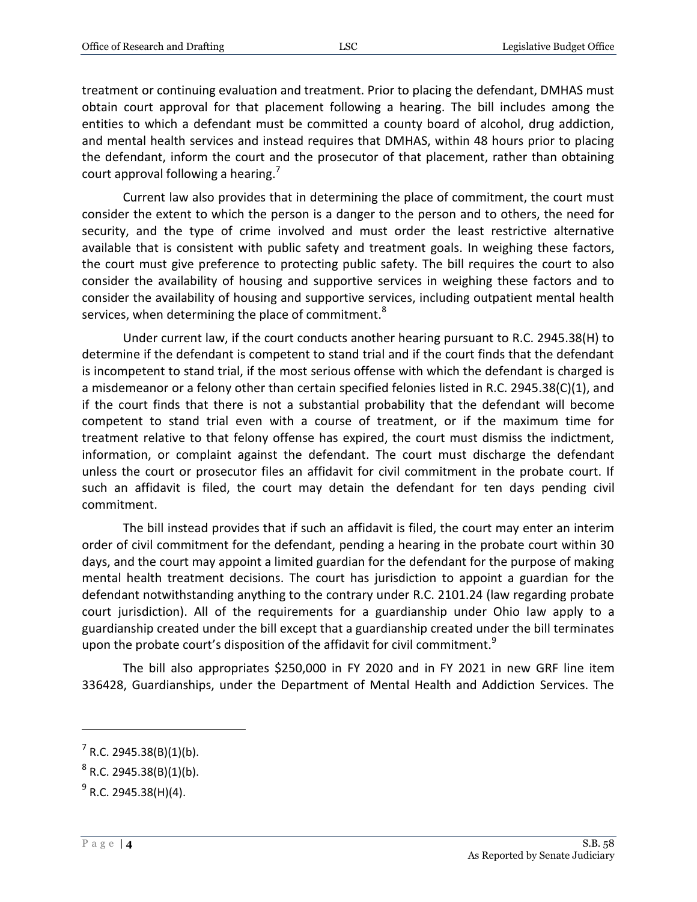treatment or continuing evaluation and treatment. Prior to placing the defendant, DMHAS must obtain court approval for that placement following a hearing. The bill includes among the entities to which a defendant must be committed a county board of alcohol, drug addiction, and mental health services and instead requires that DMHAS, within 48 hours prior to placing the defendant, inform the court and the prosecutor of that placement, rather than obtaining court approval following a hearing.<sup>7</sup>

Current law also provides that in determining the place of commitment, the court must consider the extent to which the person is a danger to the person and to others, the need for security, and the type of crime involved and must order the least restrictive alternative available that is consistent with public safety and treatment goals. In weighing these factors, the court must give preference to protecting public safety. The bill requires the court to also consider the availability of housing and supportive services in weighing these factors and to consider the availability of housing and supportive services, including outpatient mental health services, when determining the place of commitment.<sup>8</sup>

Under current law, if the court conducts another hearing pursuant to R.C. 2945.38(H) to determine if the defendant is competent to stand trial and if the court finds that the defendant is incompetent to stand trial, if the most serious offense with which the defendant is charged is a misdemeanor or a felony other than certain specified felonies listed in R.C. 2945.38(C)(1), and if the court finds that there is not a substantial probability that the defendant will become competent to stand trial even with a course of treatment, or if the maximum time for treatment relative to that felony offense has expired, the court must dismiss the indictment, information, or complaint against the defendant. The court must discharge the defendant unless the court or prosecutor files an affidavit for civil commitment in the probate court. If such an affidavit is filed, the court may detain the defendant for ten days pending civil commitment.

The bill instead provides that if such an affidavit is filed, the court may enter an interim order of civil commitment for the defendant, pending a hearing in the probate court within 30 days, and the court may appoint a limited guardian for the defendant for the purpose of making mental health treatment decisions. The court has jurisdiction to appoint a guardian for the defendant notwithstanding anything to the contrary under R.C. 2101.24 (law regarding probate court jurisdiction). All of the requirements for a guardianship under Ohio law apply to a guardianship created under the bill except that a guardianship created under the bill terminates upon the probate court's disposition of the affidavit for civil commitment.<sup>9</sup>

The bill also appropriates \$250,000 in FY 2020 and in FY 2021 in new GRF line item 336428, Guardianships, under the Department of Mental Health and Addiction Services. The

 $7$  R.C. 2945.38(B)(1)(b).

 $^8$  R.C. 2945.38(B)(1)(b).

<sup>&</sup>lt;sup>9</sup> R.C. 2945.38(H)(4).